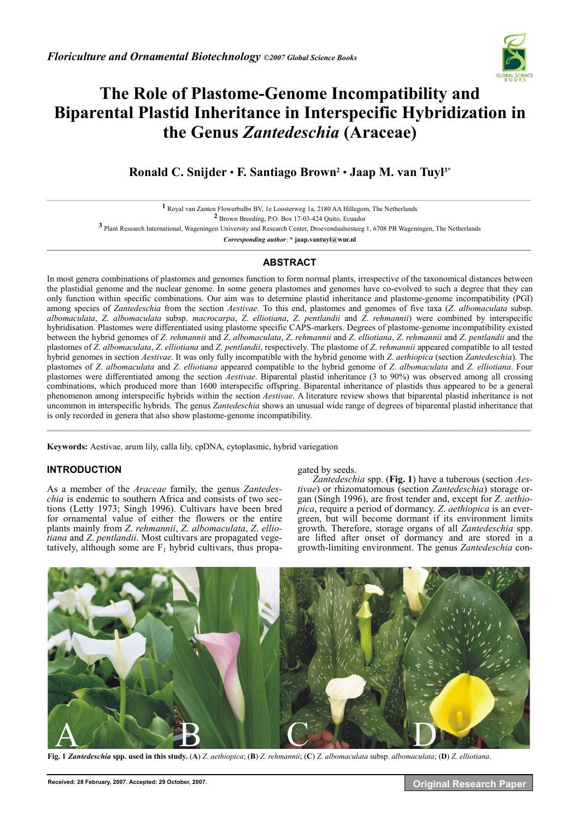

# **The Role of Plastome-Genome Incompatibility and Biparental Plastid Inheritance in Interspecific Hybridization in the Genus** *Zantedeschia* **(Araceae)**

## **Ronald C. Snijder** • **F. Santiago Brown2** • **Jaap M. van Tuyl3\***

 Royal van Zanten Flowerbulbs BV, 1e Loosterweg 1a, 2180 AA Hillegom, The Netherlands Brown Breeding, P.O. Box 17-03-424 Quito, Ecuador Plant Research International, Wageningen University and Research Center, Droevendaalsesteeg 1, 6708 PB Wageningen, The Netherlands *Corresponding author*: **\* jaap.vantuyl@wur.nl** 

### **ABSTRACT**

In most genera combinations of plastomes and genomes function to form normal plants, irrespective of the taxonomical distances between the plastidial genome and the nuclear genome. In some genera plastomes and genomes have co-evolved to such a degree that they can only function within specific combinations. Our aim was to determine plastid inheritance and plastome-genome incompatibility (PGI) among species of *Zantedeschia* from the section *Aestivae*. To this end, plastomes and genomes of five taxa (*Z*. *albomaculata* subsp. *albomaculata*, *Z*. *albomaculata* subsp. *macrocarpa*, *Z*. *elliotiana*, *Z*. *pentlandii* and *Z*. *rehmannii*) were combined by interspecific hybridisation. Plastomes were differentiated using plastome specific CAPS-markers. Degrees of plastome-genome incompatibility existed between the hybrid genomes of *Z*. *rehmannii* and *Z*. *albomaculata*, *Z*. *rehmannii* and *Z*. *elliotiana*, *Z*. *rehmannii* and *Z*. *pentlandii* and the plastomes of *Z*. *albomaculata*, *Z*. *elliotiana* and *Z*. *pentlandii*, respectively. The plastome of *Z*. *rehmannii* appeared compatible to all tested hybrid genomes in section *Aestivae*. It was only fully incompatible with the hybrid genome with *Z*. *aethiopica* (section *Zantedeschia*). The plastomes of *Z*. *albomaculata* and *Z*. *elliotiana* appeared compatible to the hybrid genome of *Z*. *albomaculata* and *Z*. *elliotiana*. Four plastomes were differentiated among the section *Aestivae*. Biparental plastid inheritance (3 to 90%) was observed among all crossing combinations, which produced more than 1600 interspecific offspring. Biparental inheritance of plastids thus appeared to be a general phenomenon among interspecific hybrids within the section *Aestivae*. A literature review shows that biparental plastid inheritance is not uncommon in interspecific hybrids. The genus *Zantedeschia* shows an unusual wide range of degrees of biparental plastid inheritance that is only recorded in genera that also show plastome-genome incompatibility.

**\_\_\_\_\_\_\_\_\_\_\_\_\_\_\_\_\_\_\_\_\_\_\_\_\_\_\_\_\_\_\_\_\_\_\_\_\_\_\_\_\_\_\_\_\_\_\_\_\_\_\_\_\_\_\_\_\_\_\_\_\_\_\_\_\_\_\_\_\_\_\_\_\_\_\_\_\_\_\_\_\_\_\_\_\_\_\_\_\_\_\_\_\_\_\_\_\_\_\_\_\_\_\_\_\_\_\_\_\_**

**Keywords:** Aestivae, arum lily, calla lily, cpDNA, cytoplasmic, hybrid variegation

#### **INTRODUCTION**

As a member of the *Araceae* family, the genus *Zantedeschia* is endemic to southern Africa and consists of two sections (Letty 1973; Singh 1996). Cultivars have been bred for ornamental value of either the flowers or the entire plants mainly from *Z*. *rehmannii*, *Z*. *albomaculata*, *Z*. *elliotiana* and *Z*. *pentlandii*. Most cultivars are propagated vegetatively, although some are  $F_1$  hybrid cultivars, thus propa-

#### gated by seeds.

*Zantedeschia* spp. (**Fig. 1**) have a tuberous (section *Aestivae*) or rhizomatomous (section *Zantedeschia*) storage organ (Singh 1996), are frost tender and, except for *Z*. *aethiopica*, require a period of dormancy. *Z*. *aethiopica* is an evergreen, but will become dormant if its environment limits growth. Therefore, storage organs of all *Zantedeschia* spp. are lifted after onset of dormancy and are stored in a growth-limiting environment. The genus *Zantedeschia* con-



Fig. 1 Zantedeschia spp. used in this study. (A) Z. aethiopica; (B) Z. rehmannii; (C) Z. albomaculata subsp. albomaculata; (D) Z. elliotiana.